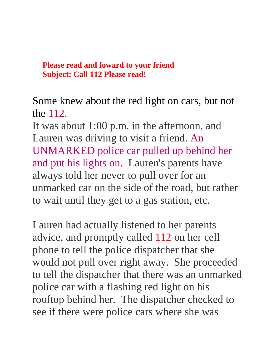## **Please read and foward to your friend Subject: Call 112 Please read!**

Some knew about the red light on cars, but not the 112.

It was about 1:00 p.m. in the afternoon, and Lauren was driving to visit a friend. An UNMARKED police car pulled up behind her and put his lights on. Lauren's parents have always told her never to pull over for an unmarked car on the side of the road, but rather to wait until they get to a gas station, etc.

Lauren had actually listened to her parents advice, and promptly called 112 on her cell phone to tell the police dispatcher that she would not pull over right away. She proceeded to tell the dispatcher that there was an unmarked police car with a flashing red light on his rooftop behind her. The dispatcher checked to see if there were police cars where she was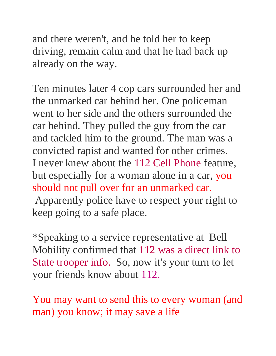and there weren't, and he told her to keep driving, remain calm and that he had back up already on the way.

Ten minutes later 4 cop cars surrounded her and the unmarked car behind her. One policeman went to her side and the others surrounded the car behind. They pulled the guy from the car and tackled him to the ground. The man was a convicted rapist and wanted for other crimes. I never knew about the 112 Cell Phone feature, but especially for a woman alone in a car, you should not pull over for an unmarked car.

Apparently police have to respect your right to keep going to a safe place.

\*Speaking to a service representative at Bell Mobility confirmed that 112 was a direct link to State trooper info. So, now it's your turn to let your friends know about 112.

You may want to send this to every woman (and man) you know; it may save a life